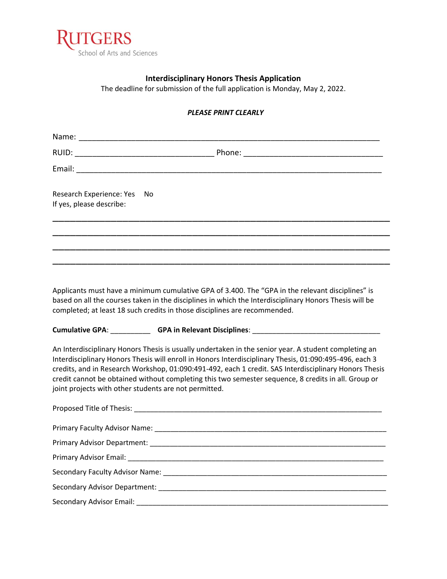

## **Interdisciplinary Honors Thesis Application**

The deadline for submission of the full application is Monday, May 2, 2022.

## *PLEASE PRINT CLEARLY*

| Research Experience: Yes<br>If yes, please describe: | No                                                                                                                                                                                                                                                                                                                                                                                                                                                                                      |
|------------------------------------------------------|-----------------------------------------------------------------------------------------------------------------------------------------------------------------------------------------------------------------------------------------------------------------------------------------------------------------------------------------------------------------------------------------------------------------------------------------------------------------------------------------|
|                                                      |                                                                                                                                                                                                                                                                                                                                                                                                                                                                                         |
|                                                      |                                                                                                                                                                                                                                                                                                                                                                                                                                                                                         |
|                                                      | Applicants must have a minimum cumulative GPA of 3.400. The "GPA in the relevant disciplines" is<br>based on all the courses taken in the disciplines in which the Interdisciplinary Honors Thesis will be<br>completed; at least 18 such credits in those disciplines are recommended.                                                                                                                                                                                                 |
|                                                      | Cumulative GPA: GPA: GPA in Relevant Disciplines: ______________________________                                                                                                                                                                                                                                                                                                                                                                                                        |
|                                                      | An Interdisciplinary Honors Thesis is usually undertaken in the senior year. A student completing an<br>Interdisciplinary Honors Thesis will enroll in Honors Interdisciplinary Thesis, 01:090:495-496, each 3<br>credits, and in Research Workshop, 01:090:491-492, each 1 credit. SAS Interdisciplinary Honors Thesis<br>credit cannot be obtained without completing this two semester sequence, 8 credits in all. Group or<br>joint projects with other students are not permitted. |
|                                                      | Proposed Title of Thesis: National Proposed Title of Thesis:                                                                                                                                                                                                                                                                                                                                                                                                                            |
| .                                                    |                                                                                                                                                                                                                                                                                                                                                                                                                                                                                         |

Primary Faculty Advisor Name: \_\_\_\_\_\_\_\_\_\_\_\_\_\_\_\_\_\_\_\_\_\_\_\_\_\_\_\_\_\_\_\_\_\_\_\_\_\_\_\_\_\_\_\_\_\_\_\_\_\_\_\_\_\_\_\_\_\_ Primary Advisor Department: \_\_\_\_\_\_\_\_\_\_\_\_\_\_\_\_\_\_\_\_\_\_\_\_\_\_\_\_\_\_\_\_\_\_\_\_\_\_\_\_\_\_\_\_\_\_\_\_\_\_\_\_\_\_\_\_\_\_\_ Primary Advisor Email: \_\_\_\_\_\_\_\_\_\_\_\_\_\_\_\_\_\_\_\_\_\_\_\_\_\_\_\_\_\_\_\_\_\_\_\_\_\_\_\_\_\_\_\_\_\_\_\_\_\_\_\_\_\_\_\_\_\_\_\_\_\_\_\_ Secondary Faculty Advisor Name: \_\_\_\_\_\_\_\_\_\_\_\_\_\_\_\_\_\_\_\_\_\_\_\_\_\_\_\_\_\_\_\_\_\_\_\_\_\_\_\_\_\_\_\_\_\_\_\_\_\_\_\_\_\_\_\_ Secondary Advisor Department: \_\_\_\_\_\_\_\_\_\_\_\_\_\_\_\_\_\_\_\_\_\_\_\_\_\_\_\_\_\_\_\_\_\_\_\_\_\_\_\_\_\_\_\_\_\_\_\_\_\_\_\_\_\_\_\_\_ Secondary Advisor Email: \_\_\_\_\_\_\_\_\_\_\_\_\_\_\_\_\_\_\_\_\_\_\_\_\_\_\_\_\_\_\_\_\_\_\_\_\_\_\_\_\_\_\_\_\_\_\_\_\_\_\_\_\_\_\_\_\_\_\_\_\_\_\_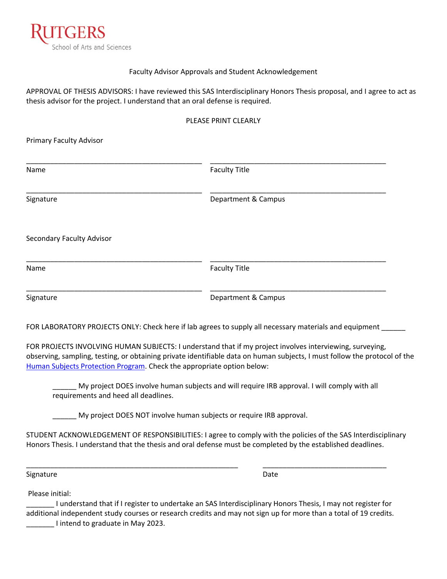

### Faculty Advisor Approvals and Student Acknowledgement

APPROVAL OF THESIS ADVISORS: I have reviewed this SAS Interdisciplinary Honors Thesis proposal, and I agree to act as thesis advisor for the project. I understand that an oral defense is required.

#### PLEASE PRINT CLEARLY

Primary Faculty Advisor

| Name                      | <b>Faculty Title</b> |  |
|---------------------------|----------------------|--|
| Signature                 | Department & Campus  |  |
| Secondary Faculty Advisor |                      |  |
| Name                      | <b>Faculty Title</b> |  |
| Signature                 | Department & Campus  |  |

FOR LABORATORY PROJECTS ONLY: Check here if lab agrees to supply all necessary materials and equipment \_\_\_\_\_\_

FOR PROJECTS INVOLVING HUMAN SUBJECTS: I understand that if my project involves interviewing, surveying, observing, sampling, testing, or obtaining private identifiable data on human subjects, I must follow the protocol of the [Human Subjects Protection Program.](https://research.rutgers.edu/researcher-support/research-compliance/human-subjects-protection-program-irbs) Check the appropriate option below:

My project DOES involve human subjects and will require IRB approval. I will comply with all requirements and heed all deadlines.

My project DOES NOT involve human subjects or require IRB approval.

STUDENT ACKNOWLEDGEMENT OF RESPONSIBILITIES: I agree to comply with the policies of the SAS Interdisciplinary Honors Thesis. I understand that the thesis and oral defense must be completed by the established deadlines.

Signature Date

Please initial:

\_\_\_\_\_\_\_ I understand that if I register to undertake an SAS Interdisciplinary Honors Thesis, I may not register for additional independent study courses or research credits and may not sign up for more than a total of 19 credits. \_\_\_\_\_\_\_ I intend to graduate in May 2023.

\_\_\_\_\_\_\_\_\_\_\_\_\_\_\_\_\_\_\_\_\_\_\_\_\_\_\_\_\_\_\_\_\_\_\_\_\_\_\_\_\_\_\_\_\_\_\_\_\_\_\_\_\_ \_\_\_\_\_\_\_\_\_\_\_\_\_\_\_\_\_\_\_\_\_\_\_\_\_\_\_\_\_\_\_